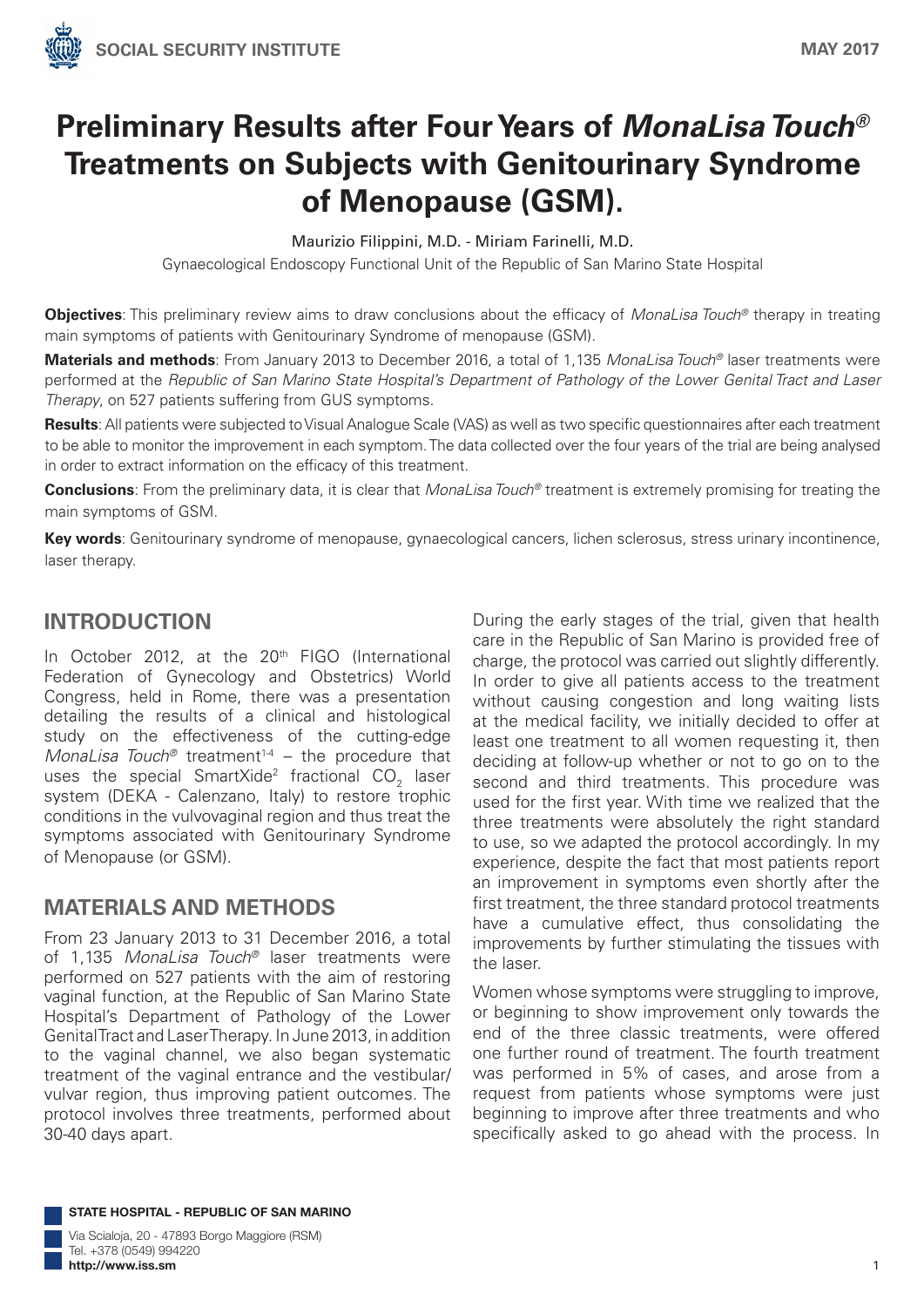

# **Preliminary Results after Four Years of** *MonaLisa Touch®* **Treatments on Subjects with Genitourinary Syndrome of Menopause (GSM).**

Maurizio Filippini, M.D. - Miriam Farinelli, M.D.

Gynaecological Endoscopy Functional Unit of the Republic of San Marino State Hospital

**Objectives**: This preliminary review aims to draw conclusions about the efficacy of *MonaLisa Touch®* therapy in treating main symptoms of patients with Genitourinary Syndrome of menopause (GSM).

**Materials and methods**: From January 2013 to December 2016, a total of 1,135 *MonaLisa Touch®* laser treatments were performed at the *Republic of San Marino State Hospital's Department of Pathology of the Lower Genital Tract and Laser Therapy*, on 527 patients suffering from GUS symptoms.

**Results**: All patients were subjected to Visual Analogue Scale (VAS) as well as two specific questionnaires after each treatment to be able to monitor the improvement in each symptom. The data collected over the four years of the trial are being analysed in order to extract information on the efficacy of this treatment.

**Conclusions**: From the preliminary data, it is clear that *MonaLisa Touch®* treatment is extremely promising for treating the main symptoms of GSM.

**Key words**: Genitourinary syndrome of menopause, gynaecological cancers, lichen sclerosus, stress urinary incontinence, laser therapy.

# **INTRODUCTION**

In October 2012, at the 20<sup>th</sup> FIGO (International Federation of Gynecology and Obstetrics) World Congress, held in Rome, there was a presentation detailing the results of a clinical and histological study on the effectiveness of the cutting-edge *MonaLisa Touch<sup>®</sup>* treatment<sup>1-4</sup> – the procedure that uses the special SmartXide<sup>2</sup> fractional  $CO<sub>2</sub>$  laser system (DEKA - Calenzano, Italy) to restore trophic conditions in the vulvovaginal region and thus treat the symptoms associated with Genitourinary Syndrome of Menopause (or GSM).

## **MATERIALS AND METHODS**

From 23 January 2013 to 31 December 2016, a total of 1,135 *MonaLisa Touch®* laser treatments were performed on 527 patients with the aim of restoring vaginal function, at the Republic of San Marino State Hospital's Department of Pathology of the Lower Genital Tract and Laser Therapy. In June 2013, in addition to the vaginal channel, we also began systematic treatment of the vaginal entrance and the vestibular/ vulvar region, thus improving patient outcomes. The protocol involves three treatments, performed about 30-40 days apart.

During the early stages of the trial, given that health care in the Republic of San Marino is provided free of charge, the protocol was carried out slightly differently. In order to give all patients access to the treatment without causing congestion and long waiting lists at the medical facility, we initially decided to offer at least one treatment to all women requesting it, then deciding at follow-up whether or not to go on to the second and third treatments. This procedure was used for the first year. With time we realized that the three treatments were absolutely the right standard to use, so we adapted the protocol accordingly. In my experience, despite the fact that most patients report an improvement in symptoms even shortly after the first treatment, the three standard protocol treatments have a cumulative effect, thus consolidating the improvements by further stimulating the tissues with the laser.

Women whose symptoms were struggling to improve, or beginning to show improvement only towards the end of the three classic treatments, were offered one further round of treatment. The fourth treatment was performed in 5% of cases, and arose from a request from patients whose symptoms were just beginning to improve after three treatments and who specifically asked to go ahead with the process. In

STATE HOSPITAL - REPUBLIC OF SAN MARINO

Via Scialoja, 20 - 47893 Borgo Maggiore (RSM) Tel. +378 (0549) 994220 http://www.iss.sm 1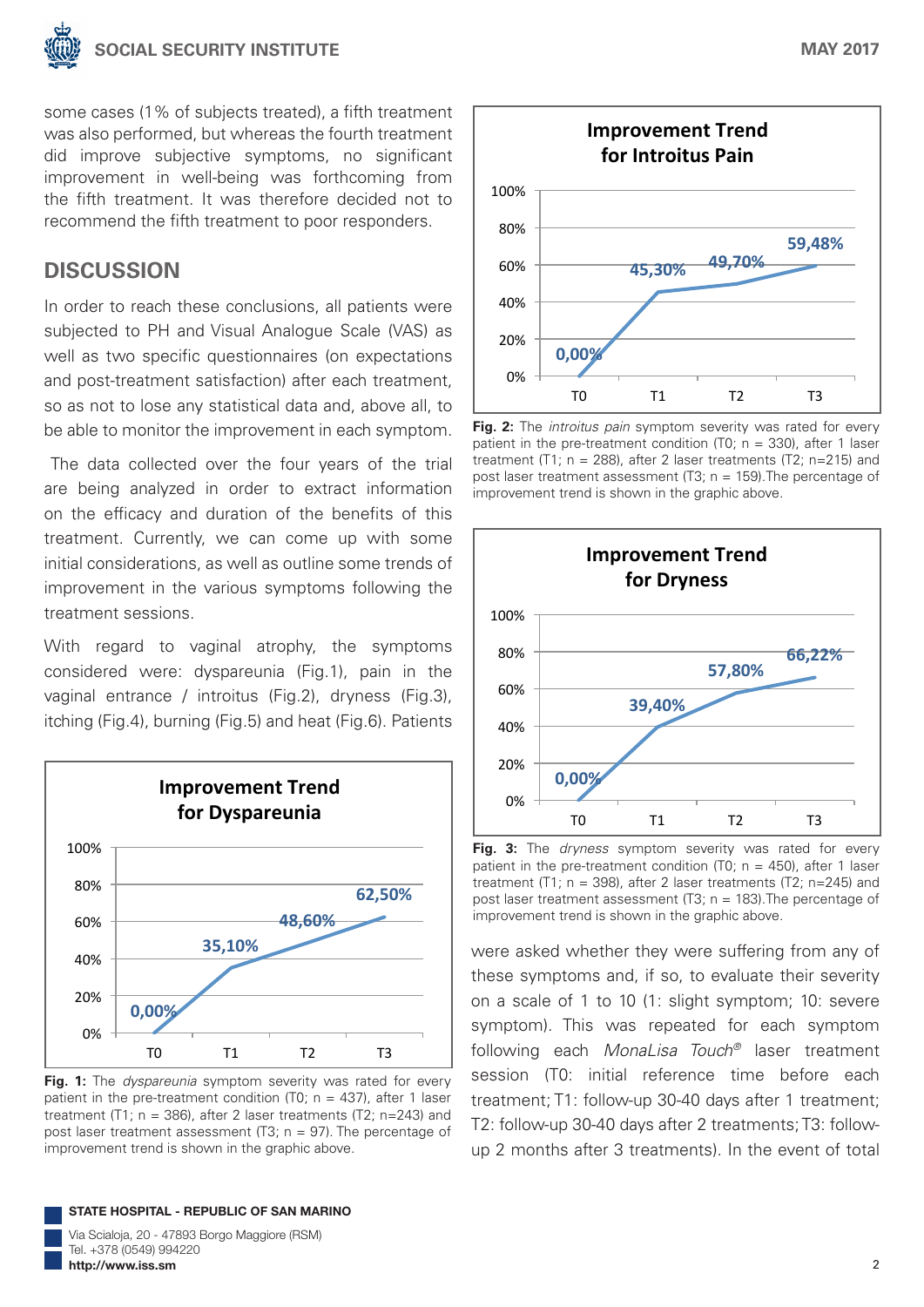

some cases (1% of subjects treated), a fifth treatment was also performed, but whereas the fourth treatment did improve subjective symptoms, no significant improvement in well-being was forthcoming from the fifth treatment. It was therefore decided not to recommend the fifth treatment to poor responders.

### **DISCUSSION**

In order to reach these conclusions, all patients were subjected to PH and Visual Analogue Scale (VAS) as well as two specific questionnaires (on expectations and post-treatment satisfaction) after each treatment, so as not to lose any statistical data and, above all, to be able to monitor the improvement in each symptom.

 The data collected over the four years of the trial are being analyzed in order to extract information on the efficacy and duration of the benefits of this treatment. Currently, we can come up with some initial considerations, as well as outline some trends of improvement in the various symptoms following the treatment sessions.  $\frac{1}{2}$  6.22%  $\frac{1}{2}$  6.22%  $\frac{1}{2}$ 

With regard to vaginal atrophy, the symptoms considered were: dyspareunia (Fig.1), pain in the vaginal entrance / introitus (Fig.2), dryness (Fig.3), itching (Fig.4), burning (Fig.5) and heat (Fig.6). Patients



**Fig. 1:** The *dyspareunia* symptom severity was rated for every patient in the pre-treatment condition  $(T0; n = 437)$ , after 1 laser treatment  $(T1; n = 386)$ , after 2 laser treatments  $(T2; n=243)$  and post laser treatment assessment (T3;  $n = 97$ ). The percentage of improvement trend is shown in the graphic above.



**Fig. 2:** The *introitus pain* symptom severity was rated for every patient in the pre-treatment condition (T0;  $n = 330$ ), after 1 laser treatment (T1;  $n = 288$ ), after 2 laser treatments (T2;  $n=215$ ) and post laser treatment assessment  $(T3; n = 159)$ . The percentage of improvement trend is shown in the graphic above.



**Fig. 3:** The *dryness* symptom severity was rated for every patient in the pre-treatment condition (T0;  $n = 450$ ), after 1 laser treatment (T1;  $n = 398$ ), after 2 laser treatments (T2;  $n=245$ ) and post laser treatment assessment (T3; n = 183).The percentage of improvement trend is shown in the graphic above.

were asked whether they were suffering from any of these symptoms and, if so, to evaluate their severity on a scale of 1 to 10 (1: slight symptom; 10: severe symptom). This was repeated for each symptom following each *MonaLisa Touch®* laser treatment session (T0: initial reference time before each treatment; T1: follow-up 30-40 days after 1 treatment; T2: follow-up 30-40 days after 2 treatments; T3: followup 2 months after 3 treatments). In the event of total

STATE HOSPITAL - REPUBLIC OF SAN MARINO

Via Scialoja, 20 - 47893 Borgo Maggiore (RSM) Tel. +378 (0549) 994220 http://www.iss.sm 2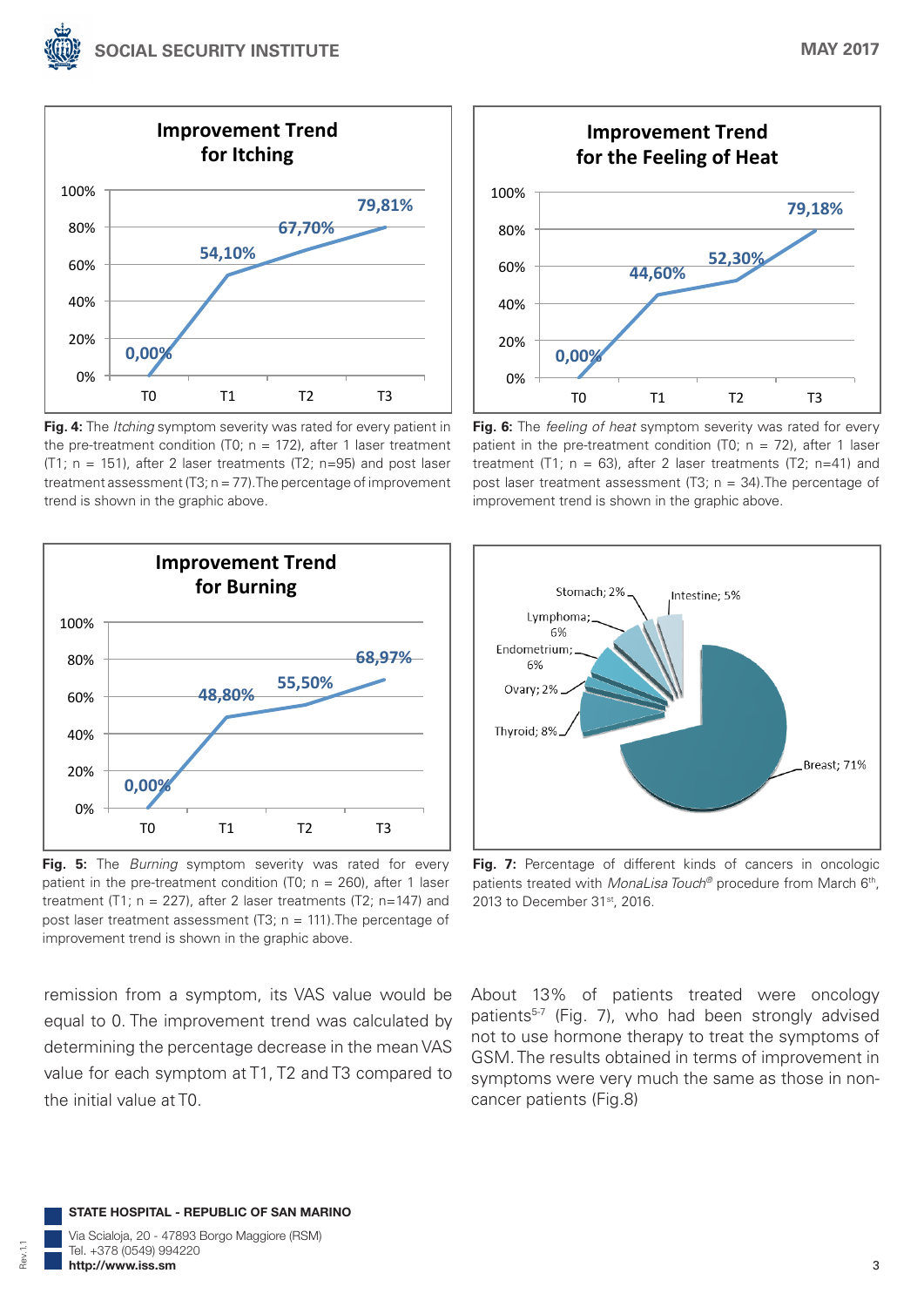

**Fig. 4:** The *Itching* symptom severity was rated for every patient in the pre-treatment condition (T0;  $n = 172$ ), after 1 laser treatment (T1;  $n = 151$ ), after 2 laser treatments (T2;  $n=95$ ) and post laser treatment assessment  $(T3; n = 77)$ . The percentage of improvement trend is shown in the graphic above.



**Fig. 5:** The *Burning* symptom severity was rated for every patient in the pre-treatment condition (T0;  $n = 260$ ), after 1 laser treatment (T1;  $n = 227$ ), after 2 laser treatments (T2;  $n=147$ ) and post laser treatment assessment (T3;  $n = 111$ ). The percentage of improvement trend is shown in the graphic above.

remission from a symptom, its VAS value would be equal to 0. The improvement trend was calculated by determining the percentage decrease in the mean VAS value for each symptom at T1, T2 and T3 compared to the initial value at T0.



**Fig. 6:** The *feeling of heat* symptom severity was rated for every patient in the pre-treatment condition (T0;  $n = 72$ ), after 1 laser treatment (T1;  $n = 63$ ), after 2 laser treatments (T2;  $n=41$ ) and post laser treatment assessment (T3;  $n = 34$ ). The percentage of improvement trend is shown in the graphic above.



**Fig. 7:** Percentage of different kinds of cancers in oncologic patients treated with *MonaLisa Touch<sup>®</sup>* procedure from March 6<sup>th</sup>, 2013 to December 31st, 2016.

About 13% of patients treated were oncology patients<sup>5-7</sup> (Fig. 7), who had been strongly advised not to use hormone therapy to treat the symptoms of GSM. The results obtained in terms of improvement in symptoms were very much the same as those in noncancer patients (Fig.8)

STATE HOSPITAL - REPUBLIC OF SAN MARINO

Via Scialoja, 20 - 47893 Borgo Maggiore (RSM) Tel. +378 (0549) 994220 http://www.iss.sm 3

Rev.1.1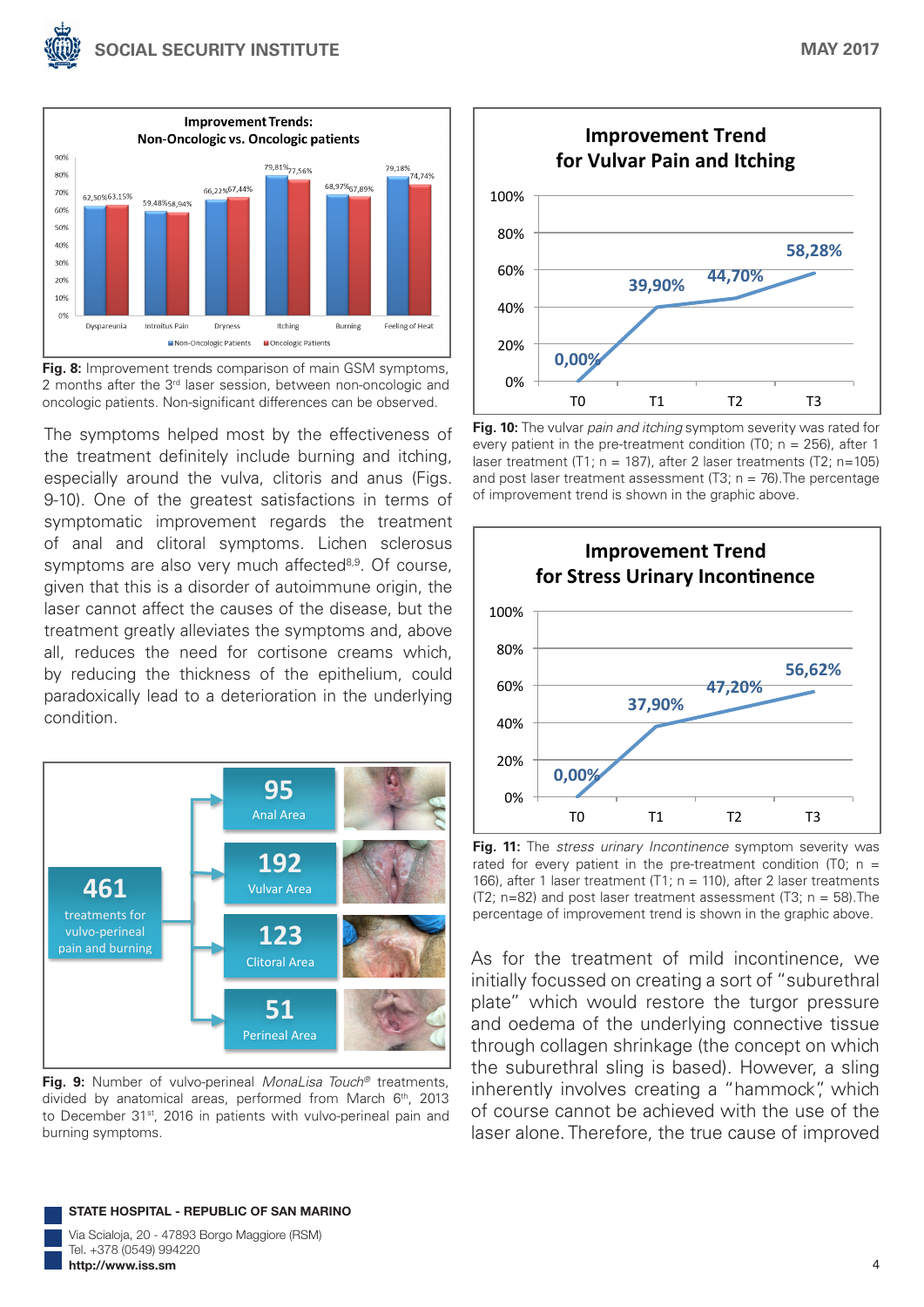



**Fig. 8:** Improvement trends comparison of main GSM symptoms, 2 months after the 3<sup>rd</sup> laser session, between non-oncologic and oncologic patients. Non-significant differences can be observed.

The symptoms helped most by the effectiveness of the treatment definitely include burning and itching, especially around the vulva, clitoris and anus (Figs. 9-10). One of the greatest satisfactions in terms of symptomatic improvement regards the treatment of anal and clitoral symptoms. Lichen sclerosus symptoms are also very much affected<sup>8,9</sup>. Of course, given that this is a disorder of autoimmune origin, the laser cannot affect the causes of the disease, but the treatment greatly alleviates the symptoms and, above all, reduces the need for cortisone creams which, by reducing the thickness of the epithelium, could paradoxically lead to a deterioration in the underlying condition.



**Fig. 9:** Number of vulvo-perineal *MonaLisa Touch®* treatments, divided by anatomical areas, performed from March 6th, 2013 to December 31<sup>st</sup>, 2016 in patients with vulvo-perineal pain and burning symptoms.



**Fig. 10:** The vulvar *pain and itching* symptom severity was rated for every patient in the pre-treatment condition  $(T0; n = 256)$ , after 1 laser treatment (T1;  $n = 187$ ), after 2 laser treatments (T2;  $n=105$ ) and post laser treatment assessment (T3;  $n = 76$ ). The percentage of improvement trend is shown in the graphic above.



**Fig. 11:** The *stress urinary Incontinence* symptom severity was rated for every patient in the pre-treatment condition (T0;  $n =$ 166), after 1 laser treatment (T1; n = 110), after 2 laser treatments (T2;  $n=82$ ) and post laser treatment assessment (T3;  $n = 58$ ). The percentage of improvement trend is shown in the graphic above.

As for the treatment of mild incontinence, we initially focussed on creating a sort of "suburethral plate" which would restore the turgor pressure and oedema of the underlying connective tissue through collagen shrinkage (the concept on which the suburethral sling is based). However, a sling inherently involves creating a "hammock", which of course cannot be achieved with the use of the laser alone. Therefore, the true cause of improved

#### STATE HOSPITAL - REPUBLIC OF SAN MARINO

Via Scialoja, 20 - 47893 Borgo Maggiore (RSM) Tel. +378 (0549) 994220 http://www.iss.sm 4